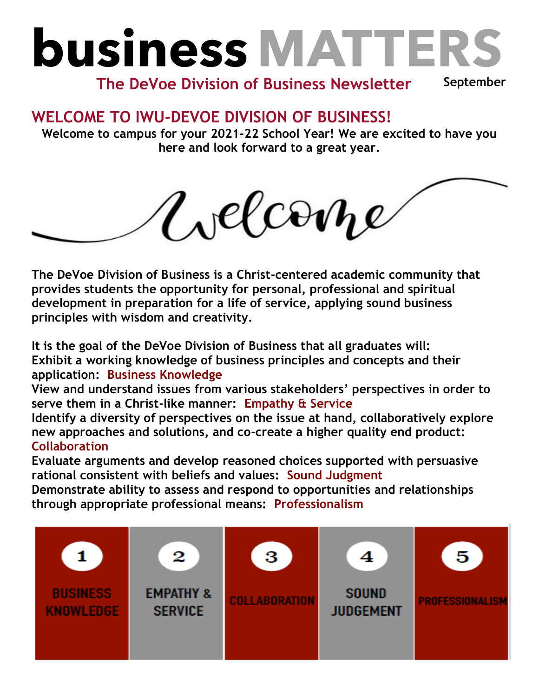## **business MATTERS**

**September The DeVoe Division of Business Newsletter**

## **WELCOME TO IWU-DEVOE DIVISION OF BUSINESS!**

**Welcome to campus for your 2021-22 School Year! We are excited to have you here and look forward to a great year.**



**The DeVoe Division of Business is a Christ-centered academic community that provides students the opportunity for personal, professional and spiritual development in preparation for a life of service, applying sound business principles with wisdom and creativity.**

**It is the goal of the DeVoe Division of Business that all graduates will: Exhibit a working knowledge of business principles and concepts and their application: Business Knowledge** 

**View and understand issues from various stakeholders' perspectives in order to serve them in a Christ-like manner: Empathy & Service**

**Identify a diversity of perspectives on the issue at hand, collaboratively explore new approaches and solutions, and co-create a higher quality end product: Collaboration**

**Evaluate arguments and develop reasoned choices supported with persuasive rational consistent with beliefs and values: Sound Judgment**

**Demonstrate ability to assess and respond to opportunities and relationships through appropriate professional means: Professionalism**